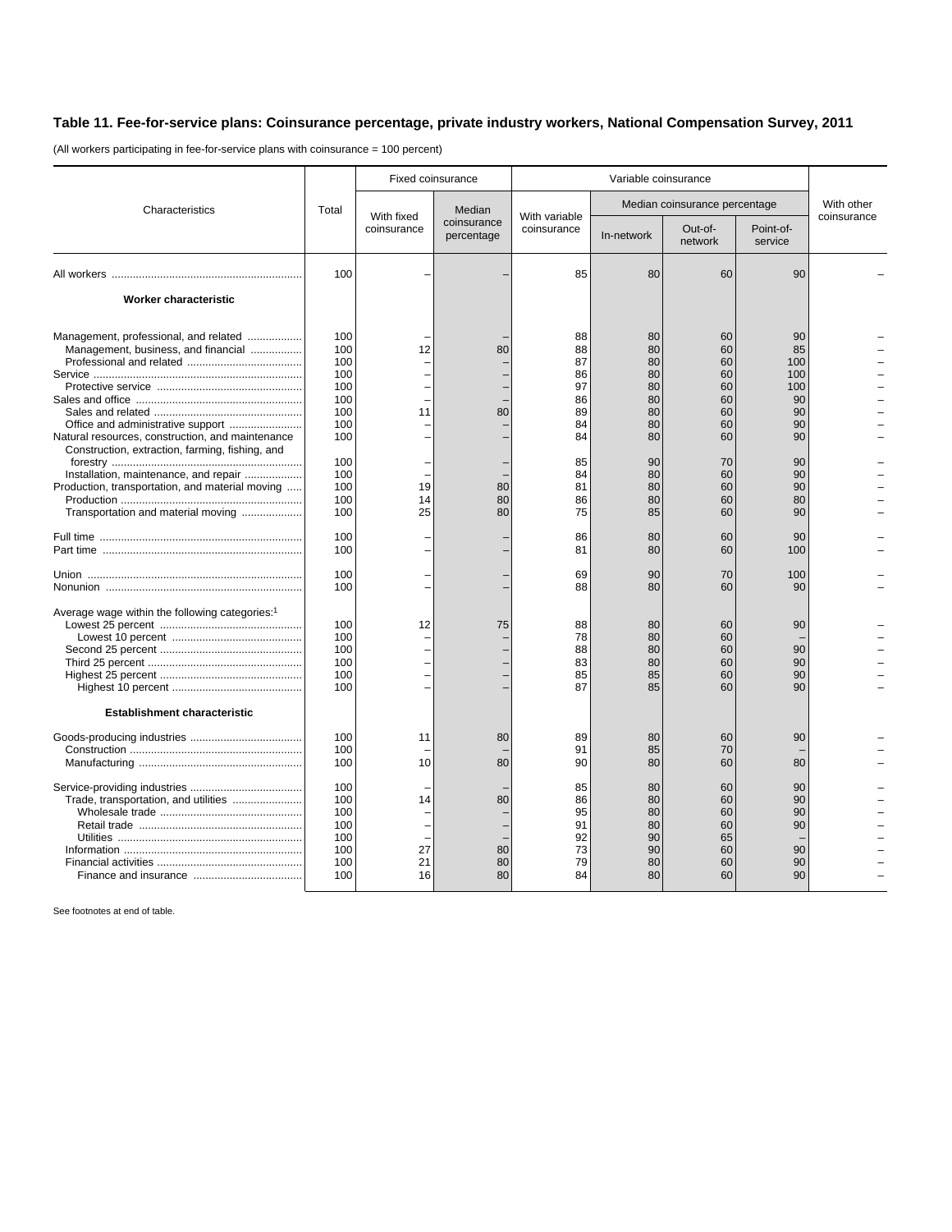## **Table 11. Fee-for-service plans: Coinsurance percentage, private industry workers, National Compensation Survey, 2011**

(All workers participating in fee-for-service plans with coinsurance = 100 percent)

|                                                                                                                                                                                                                                                                                                                       | Total                                                                                          | Fixed coinsurance          |                                     | Variable coinsurance                                                             |                                                                                  |                                                                                  |                                                                                     |             |
|-----------------------------------------------------------------------------------------------------------------------------------------------------------------------------------------------------------------------------------------------------------------------------------------------------------------------|------------------------------------------------------------------------------------------------|----------------------------|-------------------------------------|----------------------------------------------------------------------------------|----------------------------------------------------------------------------------|----------------------------------------------------------------------------------|-------------------------------------------------------------------------------------|-------------|
| Characteristics                                                                                                                                                                                                                                                                                                       |                                                                                                | With fixed<br>coinsurance  | Median<br>coinsurance<br>percentage | With variable<br>coinsurance                                                     | Median coinsurance percentage                                                    |                                                                                  |                                                                                     | With other  |
|                                                                                                                                                                                                                                                                                                                       |                                                                                                |                            |                                     |                                                                                  | In-network                                                                       | Out-of-<br>network                                                               | Point-of-<br>service                                                                | coinsurance |
|                                                                                                                                                                                                                                                                                                                       | 100                                                                                            |                            |                                     | 85                                                                               | 80                                                                               | 60                                                                               | 90                                                                                  |             |
| Worker characteristic                                                                                                                                                                                                                                                                                                 |                                                                                                |                            |                                     |                                                                                  |                                                                                  |                                                                                  |                                                                                     |             |
| Management, professional, and related<br>Management, business, and financial<br>Natural resources, construction, and maintenance<br>Construction, extraction, farming, fishing, and<br>Installation, maintenance, and repair<br>Production, transportation, and material moving<br>Transportation and material moving | 100<br>100<br>100<br>100<br>100<br>100<br>100<br>100<br>100<br>100<br>100<br>100<br>100<br>100 | 12<br>11<br>19<br>14<br>25 | 80<br>80<br>80<br>80<br>80          | 88<br>88<br>87<br>86<br>97<br>86<br>89<br>84<br>84<br>85<br>84<br>81<br>86<br>75 | 80<br>80<br>80<br>80<br>80<br>80<br>80<br>80<br>80<br>90<br>80<br>80<br>80<br>85 | 60<br>60<br>60<br>60<br>60<br>60<br>60<br>60<br>60<br>70<br>60<br>60<br>60<br>60 | 90<br>85<br>100<br>100<br>100<br>90<br>90<br>90<br>90<br>90<br>90<br>90<br>80<br>90 |             |
|                                                                                                                                                                                                                                                                                                                       | 100<br>100                                                                                     |                            |                                     | 86<br>81                                                                         | 80<br>80                                                                         | 60<br>60                                                                         | 90<br>100                                                                           |             |
|                                                                                                                                                                                                                                                                                                                       | 100<br>100                                                                                     |                            |                                     | 69<br>88                                                                         | 90<br>80                                                                         | 70<br>60                                                                         | 100<br>90                                                                           |             |
| Average wage within the following categories: <sup>1</sup>                                                                                                                                                                                                                                                            | 100<br>100<br>100<br>100<br>100<br>100                                                         | 12                         | 75                                  | 88<br>78<br>88<br>83<br>85<br>87                                                 | 80<br>80<br>80<br>80<br>85<br>85                                                 | 60<br>60<br>60<br>60<br>60<br>60                                                 | 90<br>90<br>90<br>90<br>90                                                          |             |
| Establishment characteristic                                                                                                                                                                                                                                                                                          | 100<br>100<br>100                                                                              | 11<br>10                   | 80<br>80                            | 89<br>91<br>90                                                                   | 80<br>85<br>80                                                                   | 60<br>70<br>60                                                                   | 90<br>80                                                                            |             |
| Trade, transportation, and utilities                                                                                                                                                                                                                                                                                  | 100<br>100<br>100<br>100<br>100<br>100<br>100<br>100                                           | 14<br>27<br>21<br>16       | 80<br>80<br>80<br>80                | 85<br>86<br>95<br>91<br>92<br>73<br>79<br>84                                     | 80<br>80<br>80<br>80<br>90<br>90<br>80<br>80                                     | 60<br>60<br>60<br>60<br>65<br>60<br>60<br>60                                     | 90<br>90<br>90<br>90<br>90<br>90<br>90                                              |             |

See footnotes at end of table.